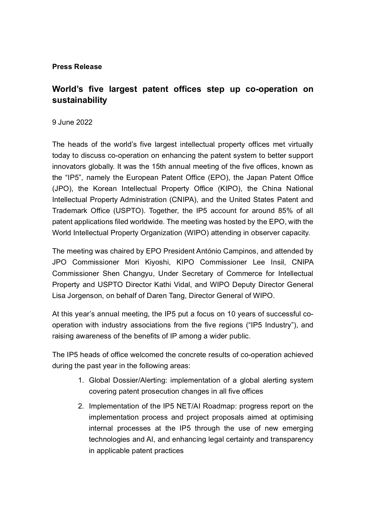## **Press Release**

## **World's five largest patent offices step up co-operation on sustainability**

## 9 June 2022

The heads of the world's five largest intellectual property offices met virtually today to discuss co-operation on enhancing the patent system to better support innovators globally. It was the 15th annual meeting of the five offices, known as the "IP5", namely the European Patent Office (EPO), the Japan Patent Office (JPO), the Korean Intellectual Property Office (KIPO), the China National Intellectual Property Administration (CNIPA), and the United States Patent and Trademark Office (USPTO). Together, the IP5 account for around 85% of all patent applications filed worldwide. The meeting was hosted by the EPO, with the World Intellectual Property Organization (WIPO) attending in observer capacity.

The meeting was chaired by EPO President António Campinos, and attended by JPO Commissioner Mori Kiyoshi, KIPO Commissioner Lee Insil, CNIPA Commissioner Shen Changyu, Under Secretary of Commerce for Intellectual Property and USPTO Director Kathi Vidal, and WIPO Deputy Director General Lisa Jorgenson, on behalf of Daren Tang, Director General of WIPO.

At this year's annual meeting, the IP5 put a focus on 10 years of successful cooperation with industry associations from the five regions ("IP5 Industry"), and raising awareness of the benefits of IP among a wider public.

The IP5 heads of office welcomed the concrete results of co-operation achieved during the past year in the following areas:

- 1. Global Dossier/Alerting: implementation of a global alerting system covering patent prosecution changes in all five offices
- 2. Implementation of the IP5 NET/AI Roadmap: progress report on the implementation process and project proposals aimed at optimising internal processes at the IP5 through the use of new emerging technologies and AI, and enhancing legal certainty and transparency in applicable patent practices